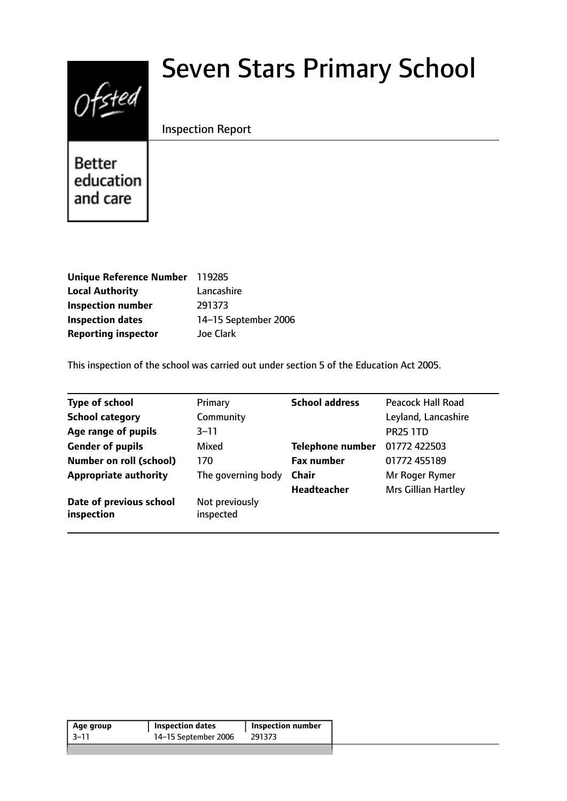# $0$ fsted

# Seven Stars Primary School

# Inspection Report

**Better** education and care

| Unique Reference Number    | 119285               |
|----------------------------|----------------------|
| <b>Local Authority</b>     | Lancashire           |
| <b>Inspection number</b>   | 291373               |
| <b>Inspection dates</b>    | 14-15 September 2006 |
| <b>Reporting inspector</b> | <b>Joe Clark</b>     |

This inspection of the school was carried out under section 5 of the Education Act 2005.

| <b>Type of school</b>                 | Primary                     | <b>School address</b>   | Peacock Hall Road          |
|---------------------------------------|-----------------------------|-------------------------|----------------------------|
| <b>School category</b>                | Community                   |                         | Leyland, Lancashire        |
| Age range of pupils                   | $3 - 11$                    |                         | <b>PR25 1TD</b>            |
| <b>Gender of pupils</b>               | Mixed                       | <b>Telephone number</b> | 01772 422503               |
| <b>Number on roll (school)</b>        | 170                         | <b>Fax number</b>       | 01772 455189               |
| <b>Appropriate authority</b>          | The governing body          | <b>Chair</b>            | Mr Roger Rymer             |
|                                       |                             | <b>Headteacher</b>      | <b>Mrs Gillian Hartley</b> |
| Date of previous school<br>inspection | Not previously<br>inspected |                         |                            |

| 14-15 September 2006<br>-3–11<br>291373 | Age group | <b>Inspection dates</b> | <b>Inspection number</b> |  |
|-----------------------------------------|-----------|-------------------------|--------------------------|--|
|                                         |           |                         |                          |  |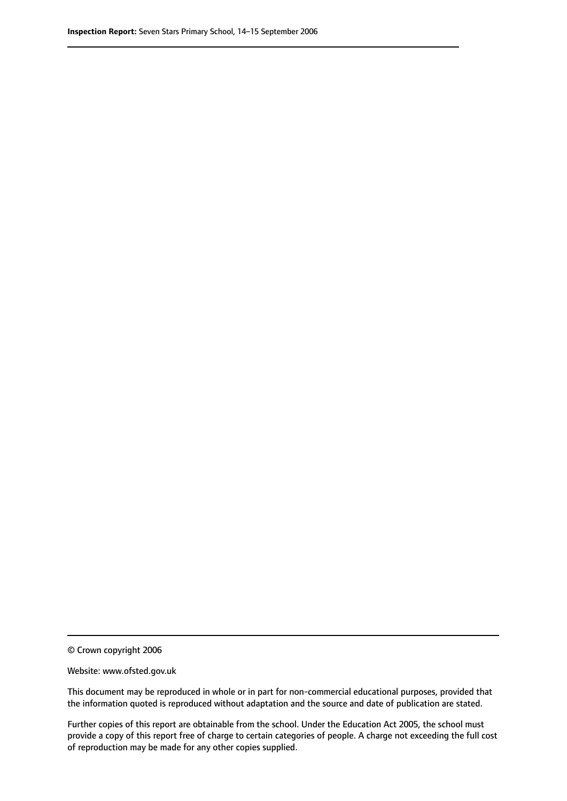© Crown copyright 2006

Website: www.ofsted.gov.uk

This document may be reproduced in whole or in part for non-commercial educational purposes, provided that the information quoted is reproduced without adaptation and the source and date of publication are stated.

Further copies of this report are obtainable from the school. Under the Education Act 2005, the school must provide a copy of this report free of charge to certain categories of people. A charge not exceeding the full cost of reproduction may be made for any other copies supplied.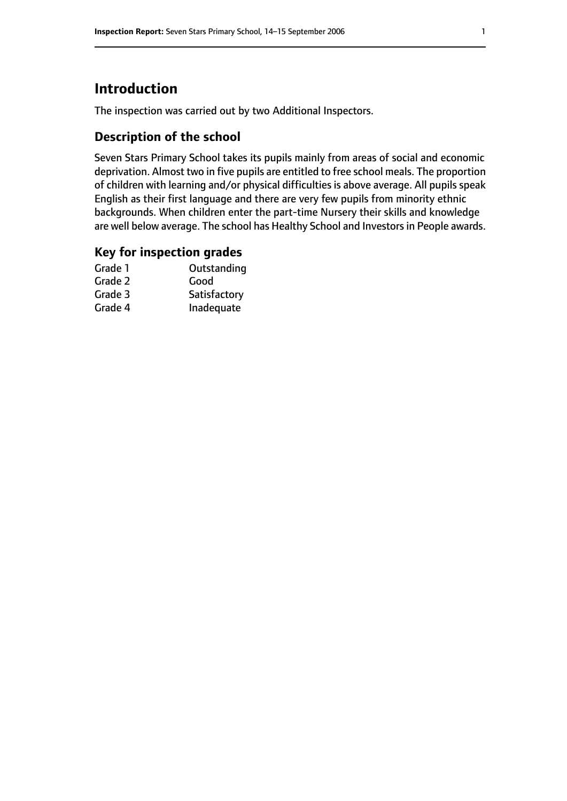# **Introduction**

The inspection was carried out by two Additional Inspectors.

# **Description of the school**

Seven Stars Primary School takes its pupils mainly from areas of social and economic deprivation. Almost two in five pupils are entitled to free school meals. The proportion of children with learning and/or physical difficulties is above average. All pupils speak English as their first language and there are very few pupils from minority ethnic backgrounds. When children enter the part-time Nursery their skills and knowledge are well below average. The school has Healthy School and Investors in People awards.

#### **Key for inspection grades**

| Outstanding  |
|--------------|
| Good         |
| Satisfactory |
| Inadequate   |
|              |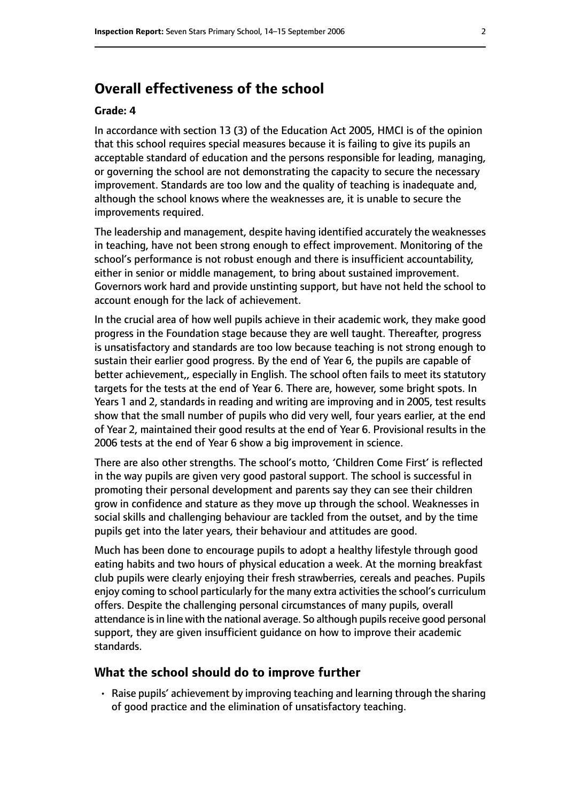# **Overall effectiveness of the school**

#### **Grade: 4**

In accordance with section 13 (3) of the Education Act 2005, HMCI is of the opinion that this school requires special measures because it is failing to give its pupils an acceptable standard of education and the persons responsible for leading, managing, or governing the school are not demonstrating the capacity to secure the necessary improvement. Standards are too low and the quality of teaching is inadequate and, although the school knows where the weaknesses are, it is unable to secure the improvements required.

The leadership and management, despite having identified accurately the weaknesses in teaching, have not been strong enough to effect improvement. Monitoring of the school's performance is not robust enough and there is insufficient accountability, either in senior or middle management, to bring about sustained improvement. Governors work hard and provide unstinting support, but have not held the school to account enough for the lack of achievement.

In the crucial area of how well pupils achieve in their academic work, they make good progress in the Foundation stage because they are well taught. Thereafter, progress is unsatisfactory and standards are too low because teaching is not strong enough to sustain their earlier good progress. By the end of Year 6, the pupils are capable of better achievement,, especially in English. The school often fails to meet its statutory targets for the tests at the end of Year 6. There are, however, some bright spots. In Years 1 and 2, standards in reading and writing are improving and in 2005, test results show that the small number of pupils who did very well, four years earlier, at the end of Year 2, maintained their good results at the end of Year 6. Provisional results in the 2006 tests at the end of Year 6 show a big improvement in science.

There are also other strengths. The school's motto, 'Children Come First' is reflected in the way pupils are given very good pastoral support. The school is successful in promoting their personal development and parents say they can see their children grow in confidence and stature as they move up through the school. Weaknesses in social skills and challenging behaviour are tackled from the outset, and by the time pupils get into the later years, their behaviour and attitudes are good.

Much has been done to encourage pupils to adopt a healthy lifestyle through good eating habits and two hours of physical education a week. At the morning breakfast club pupils were clearly enjoying their fresh strawberries, cereals and peaches. Pupils enjoy coming to school particularly for the many extra activities the school's curriculum offers. Despite the challenging personal circumstances of many pupils, overall attendance is in line with the national average. So although pupils receive good personal support, they are given insufficient guidance on how to improve their academic standards.

#### **What the school should do to improve further**

• Raise pupils' achievement by improving teaching and learning through the sharing of good practice and the elimination of unsatisfactory teaching.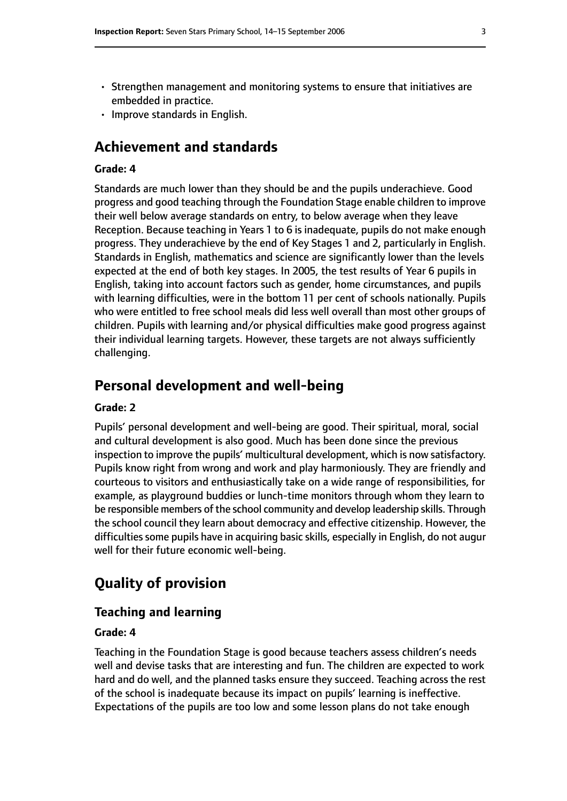- Strengthen management and monitoring systems to ensure that initiatives are embedded in practice.
- Improve standards in English.

# **Achievement and standards**

#### **Grade: 4**

Standards are much lower than they should be and the pupils underachieve. Good progress and good teaching through the Foundation Stage enable children to improve their well below average standards on entry, to below average when they leave Reception. Because teaching in Years 1 to 6 is inadequate, pupils do not make enough progress. They underachieve by the end of Key Stages 1 and 2, particularly in English. Standards in English, mathematics and science are significantly lower than the levels expected at the end of both key stages. In 2005, the test results of Year 6 pupils in English, taking into account factors such as gender, home circumstances, and pupils with learning difficulties, were in the bottom 11 per cent of schools nationally. Pupils who were entitled to free school meals did less well overall than most other groups of children. Pupils with learning and/or physical difficulties make good progress against their individual learning targets. However, these targets are not always sufficiently challenging.

### **Personal development and well-being**

#### **Grade: 2**

Pupils' personal development and well-being are good. Their spiritual, moral, social and cultural development is also good. Much has been done since the previous inspection to improve the pupils' multicultural development, which is now satisfactory. Pupils know right from wrong and work and play harmoniously. They are friendly and courteous to visitors and enthusiastically take on a wide range of responsibilities, for example, as playground buddies or lunch-time monitors through whom they learn to be responsible members of the school community and develop leadership skills. Through the school council they learn about democracy and effective citizenship. However, the difficulties some pupils have in acquiring basic skills, especially in English, do not augur well for their future economic well-being.

# **Quality of provision**

#### **Teaching and learning**

#### **Grade: 4**

Teaching in the Foundation Stage is good because teachers assess children's needs well and devise tasks that are interesting and fun. The children are expected to work hard and do well, and the planned tasks ensure they succeed. Teaching across the rest of the school is inadequate because its impact on pupils' learning is ineffective. Expectations of the pupils are too low and some lesson plans do not take enough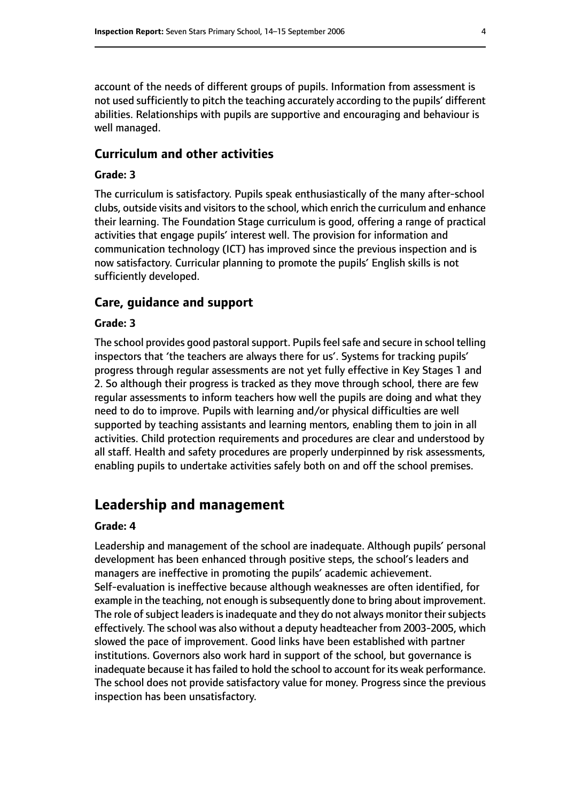account of the needs of different groups of pupils. Information from assessment is not used sufficiently to pitch the teaching accurately according to the pupils' different abilities. Relationships with pupils are supportive and encouraging and behaviour is well managed.

#### **Curriculum and other activities**

#### **Grade: 3**

The curriculum is satisfactory. Pupils speak enthusiastically of the many after-school clubs, outside visits and visitors to the school, which enrich the curriculum and enhance their learning. The Foundation Stage curriculum is good, offering a range of practical activities that engage pupils' interest well. The provision for information and communication technology (ICT) has improved since the previous inspection and is now satisfactory. Curricular planning to promote the pupils' English skills is not sufficiently developed.

#### **Care, guidance and support**

#### **Grade: 3**

The school provides good pastoral support. Pupils feel safe and secure in school telling inspectors that 'the teachers are always there for us'. Systems for tracking pupils' progress through regular assessments are not yet fully effective in Key Stages 1 and 2. So although their progress is tracked as they move through school, there are few regular assessments to inform teachers how well the pupils are doing and what they need to do to improve. Pupils with learning and/or physical difficulties are well supported by teaching assistants and learning mentors, enabling them to join in all activities. Child protection requirements and procedures are clear and understood by all staff. Health and safety procedures are properly underpinned by risk assessments, enabling pupils to undertake activities safely both on and off the school premises.

# **Leadership and management**

#### **Grade: 4**

Leadership and management of the school are inadequate. Although pupils' personal development has been enhanced through positive steps, the school's leaders and managers are ineffective in promoting the pupils' academic achievement. Self-evaluation is ineffective because although weaknesses are often identified, for example in the teaching, not enough is subsequently done to bring about improvement. The role of subject leaders is inadequate and they do not always monitor their subjects effectively. The school was also without a deputy headteacher from 2003-2005, which slowed the pace of improvement. Good links have been established with partner institutions. Governors also work hard in support of the school, but governance is inadequate because it has failed to hold the school to account for its weak performance. The school does not provide satisfactory value for money. Progress since the previous inspection has been unsatisfactory.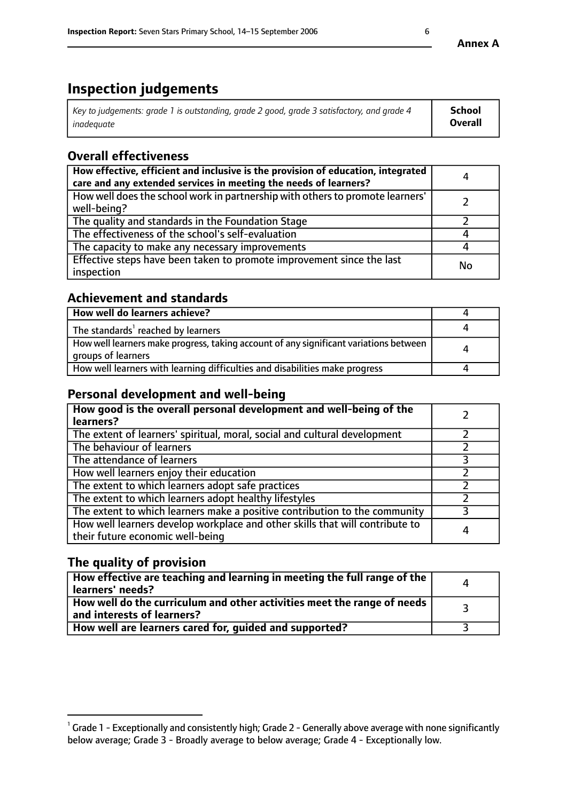# **Inspection judgements**

| Key to judgements: grade 1 is outstanding, grade 2 good, grade 3 satisfactory, and grade 4 | School         |
|--------------------------------------------------------------------------------------------|----------------|
| inadeauate                                                                                 | <b>Overall</b> |

# **Overall effectiveness**

| How effective, efficient and inclusive is the provision of education, integrated<br>care and any extended services in meeting the needs of learners? | 4  |
|------------------------------------------------------------------------------------------------------------------------------------------------------|----|
| How well does the school work in partnership with others to promote learners'<br>well-being?                                                         |    |
| The quality and standards in the Foundation Stage                                                                                                    |    |
| The effectiveness of the school's self-evaluation                                                                                                    |    |
| The capacity to make any necessary improvements                                                                                                      |    |
| Effective steps have been taken to promote improvement since the last<br>inspection                                                                  | No |

# **Achievement and standards**

| How well do learners achieve?                                                                               |   |
|-------------------------------------------------------------------------------------------------------------|---|
| The standards <sup>1</sup> reached by learners                                                              |   |
| How well learners make progress, taking account of any significant variations between<br>groups of learners | л |
| How well learners with learning difficulties and disabilities make progress                                 |   |

## **Personal development and well-being**

| How good is the overall personal development and well-being of the<br>learners?                                  |   |
|------------------------------------------------------------------------------------------------------------------|---|
| The extent of learners' spiritual, moral, social and cultural development                                        |   |
| The behaviour of learners                                                                                        |   |
| The attendance of learners                                                                                       |   |
| How well learners enjoy their education                                                                          |   |
| The extent to which learners adopt safe practices                                                                |   |
| The extent to which learners adopt healthy lifestyles                                                            |   |
| The extent to which learners make a positive contribution to the community                                       |   |
| How well learners develop workplace and other skills that will contribute to<br>their future economic well-being | 4 |

# **The quality of provision**

| How effective are teaching and learning in meeting the full range of the<br>learners' needs?          |  |
|-------------------------------------------------------------------------------------------------------|--|
| How well do the curriculum and other activities meet the range of needs<br>and interests of learners? |  |
| How well are learners cared for, guided and supported?                                                |  |

 $^1$  Grade 1 - Exceptionally and consistently high; Grade 2 - Generally above average with none significantly below average; Grade 3 - Broadly average to below average; Grade 4 - Exceptionally low.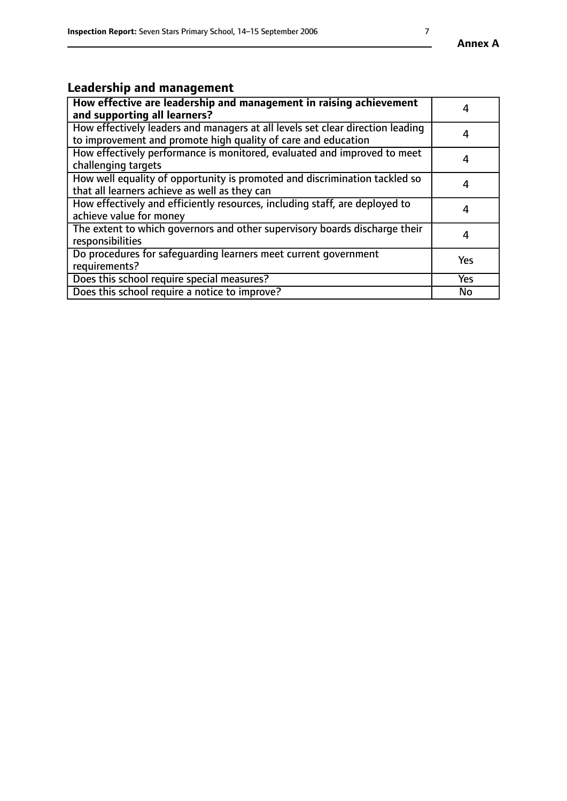# **Leadership and management**

| How effective are leadership and management in raising achievement<br>and supporting all learners?                                              |           |
|-------------------------------------------------------------------------------------------------------------------------------------------------|-----------|
| How effectively leaders and managers at all levels set clear direction leading<br>to improvement and promote high quality of care and education | 4         |
| How effectively performance is monitored, evaluated and improved to meet<br>challenging targets                                                 | 4         |
| How well equality of opportunity is promoted and discrimination tackled so<br>that all learners achieve as well as they can                     | 4         |
| How effectively and efficiently resources, including staff, are deployed to<br>achieve value for money                                          | 4         |
| The extent to which governors and other supervisory boards discharge their<br>responsibilities                                                  | 4         |
| Do procedures for safequarding learners meet current government<br>requirements?                                                                | Yes       |
| Does this school require special measures?                                                                                                      | Yes       |
| Does this school require a notice to improve?                                                                                                   | <b>No</b> |